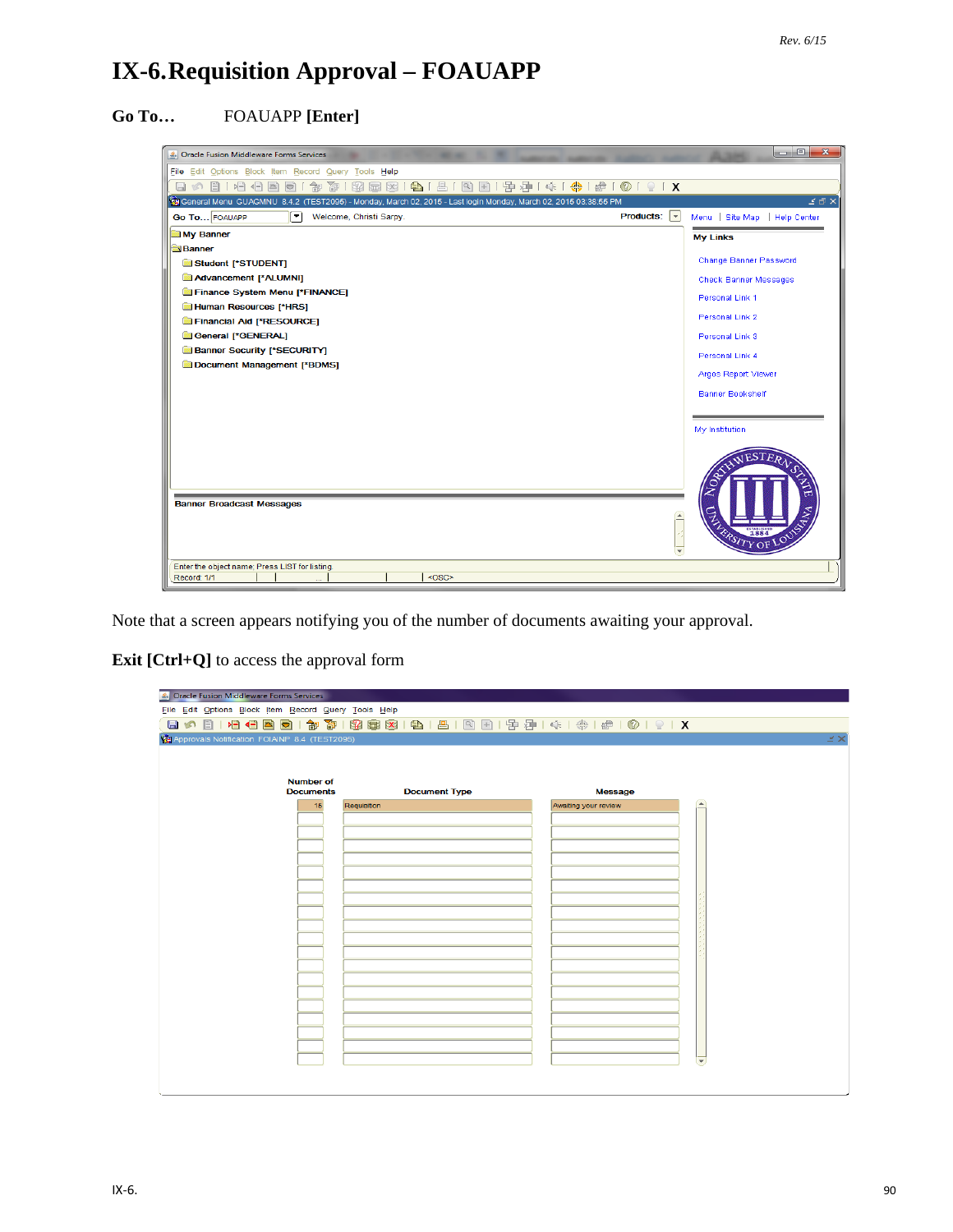## **IX-6.Requisition Approval – FOAUAPP**

## **Go To…** FOAUAPP **[Enter]**

| <b>Oracle Fusion Middleware Forms Services</b>                                                                                             |                                              | $\begin{array}{c c c c c c} \hline \multicolumn{3}{c }{\mathbf{0}} & \multicolumn{3}{c }{\mathbf{0}} \end{array}$<br>$\mathbf{x}$ |
|--------------------------------------------------------------------------------------------------------------------------------------------|----------------------------------------------|-----------------------------------------------------------------------------------------------------------------------------------|
| File Edit Options Block Item Record Query Tools Help                                                                                       |                                              |                                                                                                                                   |
| 暈<br>種<br>$p =$<br>Y.<br>$\left\vert \left\langle -\right\vert \right\vert$<br>$\bigoplus$<br>ৰ্€<br>$\Box$<br>v(2)<br>32<br>氚<br>$\infty$ | <b>← ↑</b> ↑                                 |                                                                                                                                   |
| 79 General Menu GUAGMNU 8.4.2 (TEST2095) - Monday, March 02, 2015 - Last login Monday, March 02, 2015 03:38:55 PM                          |                                              | $\leq$ $\oplus$ $\times$                                                                                                          |
| Go To FOAUAPP<br>◥<br>Welcome, Christi Sarpy.                                                                                              | <b>Products:</b><br>$\vert \mathbf{v} \vert$ | Menu Site Map<br>Help Center                                                                                                      |
| My Banner                                                                                                                                  |                                              | <b>My Links</b>                                                                                                                   |
| <b>Banner</b>                                                                                                                              |                                              |                                                                                                                                   |
| Student [*STUDENT]                                                                                                                         |                                              | Change Banner Password                                                                                                            |
| Advancement [*ALUMNI]                                                                                                                      |                                              | <b>Check Banner Messages</b>                                                                                                      |
| Finance System Menu [*FINANCE]                                                                                                             |                                              | Personal Link 1                                                                                                                   |
| Human Resources [*HRS]                                                                                                                     |                                              | Personal Link 2                                                                                                                   |
| Financial Aid [*RESOURCE]<br>General [*GENERAL]                                                                                            |                                              |                                                                                                                                   |
| <b>Banner Security [*SECURITY]</b>                                                                                                         |                                              | Personal Link 3                                                                                                                   |
| Document Management [*BDMS]                                                                                                                |                                              | Personal Link 4                                                                                                                   |
|                                                                                                                                            |                                              | Argos Report Viewer                                                                                                               |
|                                                                                                                                            |                                              | <b>Banner Bookshelf</b>                                                                                                           |
|                                                                                                                                            |                                              |                                                                                                                                   |
|                                                                                                                                            |                                              | My Institution                                                                                                                    |
|                                                                                                                                            |                                              |                                                                                                                                   |
|                                                                                                                                            |                                              |                                                                                                                                   |
|                                                                                                                                            |                                              |                                                                                                                                   |
|                                                                                                                                            |                                              |                                                                                                                                   |
| <b>Banner Broadcast Messages</b>                                                                                                           | $\sim$                                       |                                                                                                                                   |
|                                                                                                                                            |                                              |                                                                                                                                   |
|                                                                                                                                            |                                              | TERSITY OF LOUIS                                                                                                                  |
|                                                                                                                                            |                                              |                                                                                                                                   |
| Enter the object name; Press LIST for listing.<br>$<$ OSC><br>Record: 1/1                                                                  |                                              |                                                                                                                                   |
|                                                                                                                                            |                                              |                                                                                                                                   |

Note that a screen appears notifying you of the number of documents awaiting your approval.

**Exit [Ctrl+Q]** to access the approval form

| So Oracle Fusion Middleware Forms Services           |                      |                      |                      |
|------------------------------------------------------|----------------------|----------------------|----------------------|
| Eile Edit Options Block Item Record Query Tools Help |                      |                      |                      |
| 日の                                                   |                      |                      |                      |
| Approvals Notification FOIAINP 8.4 (TEST2095)        |                      |                      | $\preceq \times$     |
|                                                      |                      |                      |                      |
|                                                      |                      |                      |                      |
| <b>Number of</b>                                     |                      |                      |                      |
| <b>Documents</b>                                     | <b>Document Type</b> | <b>Message</b>       |                      |
| 15                                                   | Requisition          | Awaiting your review | $\curvearrowright$   |
|                                                      |                      |                      |                      |
|                                                      |                      |                      |                      |
|                                                      |                      |                      |                      |
|                                                      |                      |                      |                      |
|                                                      |                      |                      |                      |
|                                                      |                      |                      |                      |
|                                                      |                      |                      |                      |
|                                                      |                      |                      |                      |
|                                                      |                      |                      |                      |
|                                                      |                      |                      |                      |
|                                                      |                      |                      |                      |
|                                                      |                      |                      |                      |
|                                                      |                      |                      |                      |
|                                                      |                      |                      |                      |
|                                                      |                      |                      |                      |
|                                                      |                      |                      |                      |
|                                                      |                      |                      |                      |
|                                                      |                      |                      |                      |
|                                                      |                      |                      | $\blacktriangledown$ |
|                                                      |                      |                      |                      |
|                                                      |                      |                      |                      |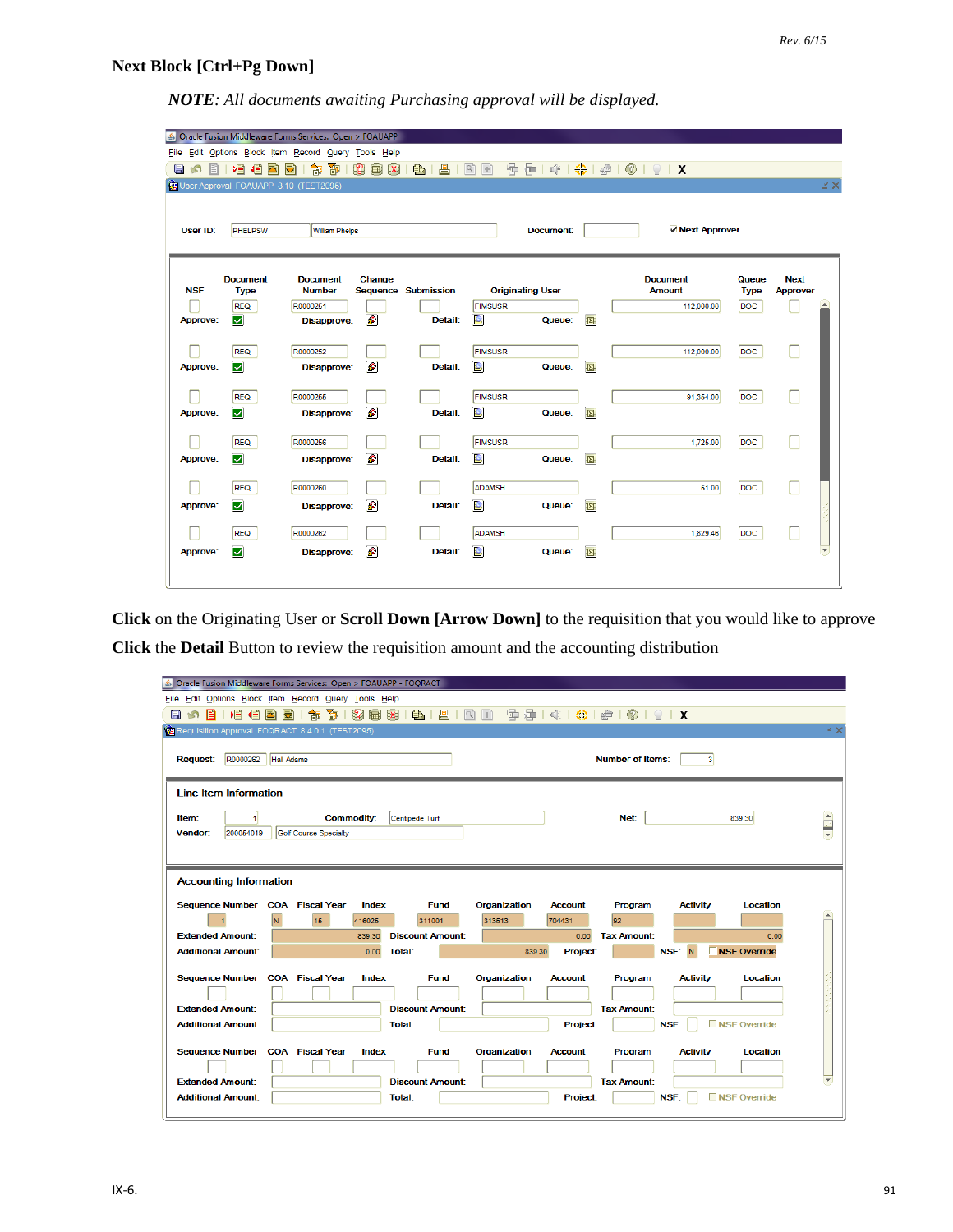## **Next Block [Ctrl+Pg Down]**

*NOTE: All documents awaiting Purchasing approval will be displayed.*

|                           |                                        | Oracle Fusion Middleware Forms Services: Open > FOAUAPP |                         |                     |                |                         |        |                                                                                       |                      |                                |
|---------------------------|----------------------------------------|---------------------------------------------------------|-------------------------|---------------------|----------------|-------------------------|--------|---------------------------------------------------------------------------------------|----------------------|--------------------------------|
|                           |                                        | File Edit Options Block Item Record Query Tools Help    |                         |                     |                |                         |        |                                                                                       |                      |                                |
| $\blacksquare$<br>۱G<br>П | 滑帽<br>E)                               | 侖<br>禬<br>Ð                                             | 17<br>圃<br>$\mathbf{x}$ | $A$ $B$ $B$         |                | 骨 星  <br><b>《</b>       | $ + 1$ | $^{\circledR}$<br>$\left  \right $ $\left  \right $ $\left  \right $ $\left  \right $ |                      |                                |
|                           |                                        | User Approval FOAUAPP 8.10 (TEST2095)                   |                         |                     |                |                         |        |                                                                                       |                      | ¥Χ                             |
|                           |                                        |                                                         |                         |                     |                |                         |        |                                                                                       |                      |                                |
| User ID:                  | PHELPSW                                | <b>William Phelps</b>                                   |                         |                     |                | Document:               |        | <b>V</b> Next Approver                                                                |                      |                                |
|                           |                                        |                                                         |                         |                     |                |                         |        |                                                                                       |                      |                                |
|                           |                                        |                                                         |                         |                     |                |                         |        |                                                                                       |                      |                                |
| <b>NSF</b>                | <b>Document</b><br><b>Type</b>         | <b>Document</b><br><b>Number</b>                        | Change                  | Sequence Submission |                | <b>Originating User</b> |        | <b>Document</b><br><b>Amount</b>                                                      | Queue<br><b>Type</b> | <b>Next</b><br><b>Approver</b> |
|                           | <b>REQ</b>                             | R0000251                                                |                         |                     | <b>FIMSUSR</b> |                         |        | 112,000.00                                                                            | <b>DOC</b>           | $\blacktriangle$               |
| <b>Approve:</b>           | ☑                                      | <b>Disapprove:</b>                                      | $\bullet$               | Detail:             | $\blacksquare$ | Queue:                  | 每      |                                                                                       |                      |                                |
|                           | <b>REQ</b>                             | R0000252                                                |                         |                     | <b>FIMSUSR</b> |                         |        | 112,000.00                                                                            | <b>DOC</b>           |                                |
| <b>Approve:</b>           | $\vert\mathcal{\mathcal{\mathcal{L}}}$ | Disapprove:                                             | $\mathbf{E}$            | Detail:             | $\blacksquare$ | Queue:                  | 团      |                                                                                       |                      |                                |
|                           |                                        |                                                         |                         |                     |                |                         |        |                                                                                       |                      |                                |
|                           | <b>REQ</b>                             | R0000255                                                |                         |                     | <b>FIMSUSR</b> |                         |        | 91.354.00                                                                             | <b>DOC</b>           |                                |
| <b>Approve:</b>           | ☑                                      | <b>Disapprove:</b>                                      | $\bullet$               | Detail:             | $\Box$         | Queue:                  | 团      |                                                                                       |                      |                                |
|                           | <b>REQ</b>                             | R0000256                                                |                         |                     | <b>FIMSUSR</b> |                         |        | 1,725.00                                                                              | <b>DOC</b>           |                                |
| <b>Approve:</b>           | ☑                                      | Disapprove:                                             | $\bullet$               | Detail:             | g,             | Queue:                  | 团      |                                                                                       |                      |                                |
|                           |                                        |                                                         |                         |                     |                |                         |        |                                                                                       |                      |                                |
|                           | <b>REQ</b>                             | R0000260                                                |                         |                     | <b>ADAMSH</b>  |                         |        | 51.00                                                                                 | DOC                  |                                |
| Approve:                  | $\overline{\vee}$                      | Disapprove:                                             | $\bullet$               | Detail:             | B.             | Queue:                  | 团      |                                                                                       |                      |                                |
|                           | <b>REQ</b>                             | R0000262                                                |                         |                     | <b>ADAMSH</b>  |                         |        | 1,829.46                                                                              | DOC                  |                                |
| <b>Approve:</b>           | $\overline{\vee}$                      | Disapprove:                                             | 圖                       | Detail:             | B              | Queue:                  | 团      |                                                                                       |                      | $\blacktriangledown$           |
|                           |                                        |                                                         |                         |                     |                |                         |        |                                                                                       |                      |                                |
|                           |                                        |                                                         |                         |                     |                |                         |        |                                                                                       |                      |                                |

**Click** on the Originating User or **Scroll Down [Arrow Down]** to the requisition that you would like to approve **Click** the **Detail** Button to review the requisition amount and the accounting distribution

| & Oracle Fusion Middleware Forms Services: Open > FOAUAPP - FOQRACT |                        |                   |                |                         |                         |                      |                                                                                 |                 |                     |                  |
|---------------------------------------------------------------------|------------------------|-------------------|----------------|-------------------------|-------------------------|----------------------|---------------------------------------------------------------------------------|-----------------|---------------------|------------------|
| File Edit Options Block Item Record Query Tools Help                |                        |                   |                |                         |                         |                      |                                                                                 |                 |                     |                  |
| ⋗⊟<br>¶∃∤<br>$\blacksquare$<br>۴n                                   | E)                     | 衙<br>御<br>19      | 同 EX           | $\bigoplus$ $\bigoplus$ | 田<br>$\mathbb{R}$<br>昏昏 | $\lceil$ of $\lceil$ | $\bigoplus_{i=1}^n \bigoplus_{i=1}^n \bigotimes_{i=1}^n \bigotimes_{i=1}^n X_i$ |                 |                     |                  |
| Requisition Approval FOQRACT 8.4.0.1 (TEST2095)                     |                        |                   |                |                         |                         |                      |                                                                                 |                 |                     | ≤×               |
|                                                                     |                        |                   |                |                         |                         |                      |                                                                                 |                 |                     |                  |
| R0000262<br><b>Request:</b>                                         | <b>Hall Adams</b>      |                   |                |                         |                         |                      | <b>Number of Items:</b>                                                         | 3               |                     |                  |
|                                                                     |                        |                   |                |                         |                         |                      |                                                                                 |                 |                     |                  |
| <b>Line Item Information</b>                                        |                        |                   |                |                         |                         |                      |                                                                                 |                 |                     |                  |
|                                                                     |                        |                   |                |                         |                         |                      |                                                                                 |                 |                     |                  |
| Item:                                                               |                        | <b>Commodity:</b> |                | Centipede Turf          |                         |                      | Net:                                                                            |                 | 839.30              | <b>A</b><br>E    |
| Vendor:<br>200054019                                                | Golf Course Specialty  |                   |                |                         |                         |                      |                                                                                 |                 |                     |                  |
|                                                                     |                        |                   |                |                         |                         |                      |                                                                                 |                 |                     |                  |
|                                                                     |                        |                   |                |                         |                         |                      |                                                                                 |                 |                     |                  |
| <b>Accounting Information</b>                                       |                        |                   |                |                         |                         |                      |                                                                                 |                 |                     |                  |
| Sequence Number COA Fiscal Year                                     |                        |                   | Index          | <b>Fund</b>             | Organization            | <b>Account</b>       | Program                                                                         | <b>Activity</b> | Location            |                  |
|                                                                     | IN.                    | 15                | 416025         | 311001                  | 313513                  | 704431               | 92                                                                              |                 |                     | $\blacktriangle$ |
| <b>Extended Amount:</b>                                             |                        |                   | 839.30         | <b>Discount Amount:</b> |                         | 0.00                 | <b>Tax Amount:</b>                                                              |                 | 0.00                |                  |
| <b>Additional Amount:</b>                                           |                        |                   | 0.00<br>Total: |                         | 839.30                  | Project:             |                                                                                 | NSF: N          | <b>NSF Override</b> |                  |
|                                                                     |                        |                   |                |                         |                         |                      |                                                                                 |                 |                     |                  |
| <b>Sequence Number</b>                                              | <b>COA</b> Fiscal Year |                   | Index          | Fund                    | Organization            | <b>Account</b>       | Program                                                                         | <b>Activity</b> | Location            |                  |
|                                                                     |                        |                   |                |                         |                         |                      |                                                                                 |                 |                     |                  |
| <b>Extended Amount:</b>                                             |                        |                   |                | <b>Discount Amount:</b> |                         |                      | <b>Tax Amount:</b>                                                              |                 |                     |                  |
| <b>Additional Amount:</b>                                           |                        |                   | Total:         |                         |                         | <b>Project:</b>      |                                                                                 | NSF:            | <b>NSF Override</b> |                  |
|                                                                     |                        |                   |                |                         |                         |                      |                                                                                 |                 |                     |                  |
| <b>Sequence Number</b>                                              | <b>COA</b> Fiscal Year |                   | Index          | <b>Fund</b>             | Organization            | <b>Account</b>       | Program                                                                         | <b>Activity</b> | Location            |                  |
|                                                                     |                        |                   |                |                         |                         |                      |                                                                                 |                 |                     |                  |
| <b>Extended Amount:</b>                                             |                        |                   |                | <b>Discount Amount:</b> |                         |                      | <b>Tax Amount:</b>                                                              |                 |                     |                  |
| <b>Additional Amount:</b>                                           |                        |                   | <b>Total:</b>  |                         |                         | <b>Project:</b>      |                                                                                 | NSF:            | <b>NSF Override</b> |                  |
|                                                                     |                        |                   |                |                         |                         |                      |                                                                                 |                 |                     |                  |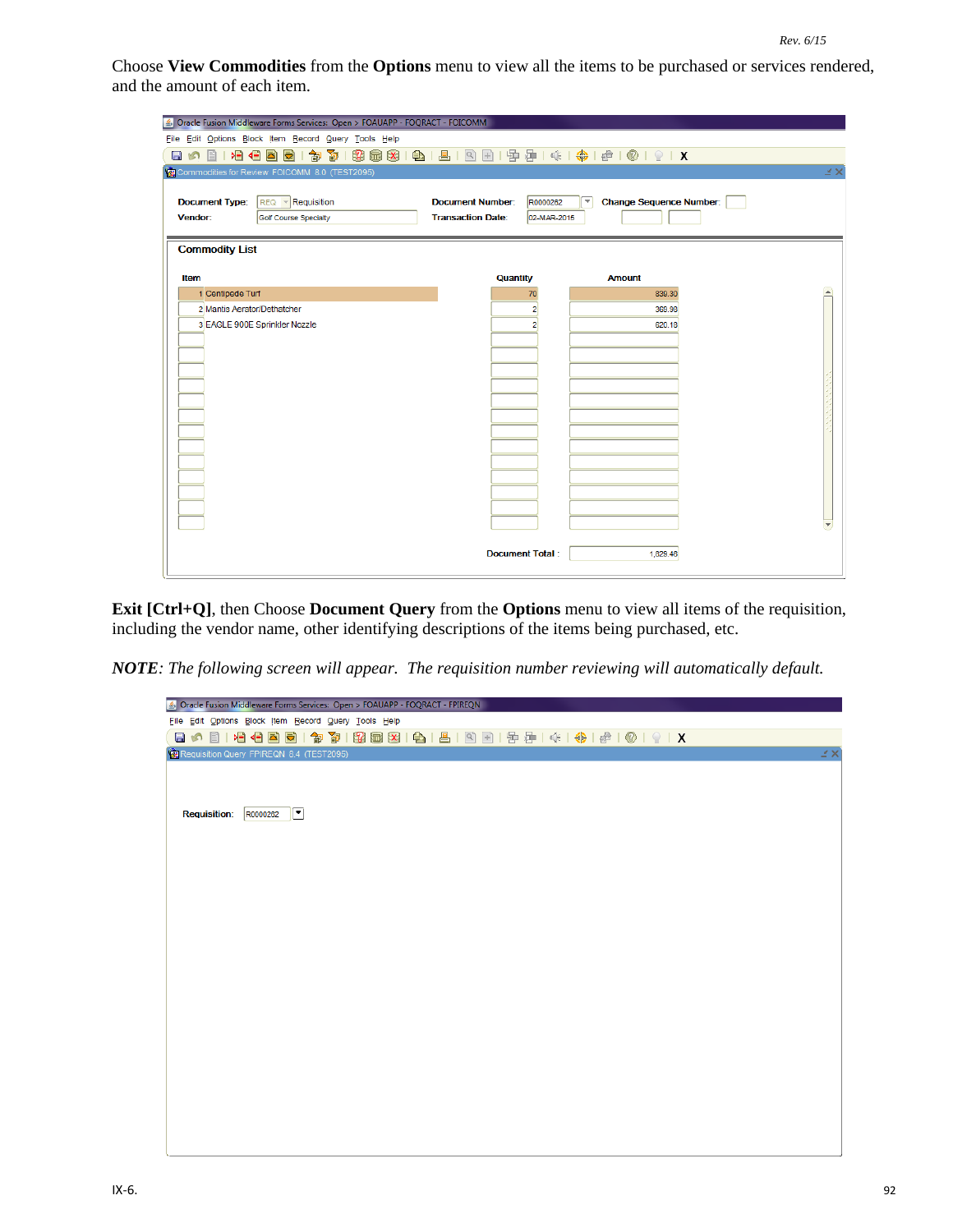Choose **View Commodities** from the **Options** menu to view all the items to be purchased or services rendered, and the amount of each item.

| & Oracle Fusion Middleware Forms Services: Open > FOAUAPP - FOQRACT - FOICOMM   |                                                                                |                                                            |                          |
|---------------------------------------------------------------------------------|--------------------------------------------------------------------------------|------------------------------------------------------------|--------------------------|
| File Edit Options Block Item Record Query Tools Help                            |                                                                                |                                                            |                          |
| B 6 E 1 H 4 B 5 H 37<br>印                                                       | 3 8 8 8 9 1 8 1 8 1 9 8 1 9 9 1 4 1 4 1 4 1 6 1 0 1 9 1 X                      |                                                            |                          |
| Commodities for Review FOICOMM 8.0 (TEST2095)                                   |                                                                                |                                                            | $\preceq \times$         |
| <b>Document Type:</b><br>$REQ = REquistion$<br>Vendor:<br>Golf Course Specialty | <b>Document Number:</b><br>R0000262<br><b>Transaction Date:</b><br>02-MAR-2015 | <b>Change Sequence Number:</b><br>$\overline{\phantom{a}}$ |                          |
| <b>Commodity List</b><br>Item                                                   | Quantity                                                                       | <b>Amount</b>                                              |                          |
| 1 Centipede Turf                                                                | 70                                                                             | 839.30                                                     | ◚                        |
| 2 Mantis Aerator/Dethatcher                                                     | $\overline{2}$                                                                 | 369.98                                                     |                          |
| 3 EAGLE 900E Sprinkler Nozzle                                                   | $\overline{2}$                                                                 | 620.18                                                     |                          |
|                                                                                 |                                                                                |                                                            |                          |
|                                                                                 |                                                                                |                                                            |                          |
|                                                                                 |                                                                                |                                                            |                          |
|                                                                                 |                                                                                |                                                            |                          |
|                                                                                 |                                                                                |                                                            |                          |
|                                                                                 |                                                                                |                                                            |                          |
|                                                                                 |                                                                                |                                                            |                          |
|                                                                                 |                                                                                |                                                            |                          |
|                                                                                 |                                                                                |                                                            |                          |
|                                                                                 |                                                                                |                                                            |                          |
|                                                                                 |                                                                                |                                                            | $\overline{\phantom{a}}$ |
|                                                                                 | <b>Document Total:</b>                                                         | 1,829.46                                                   |                          |

**Exit [Ctrl+Q]**, then Choose **Document Query** from the **Options** menu to view all items of the requisition, including the vendor name, other identifying descriptions of the items being purchased, etc.

*NOTE: The following screen will appear. The requisition number reviewing will automatically default.*

| Oracle Fusion Middleware Forms Services: Open > FOAUAPP - FOQRACT - FPIREQN |
|-----------------------------------------------------------------------------|
| File Edit Options Block Item Record Query Tools Help                        |
| 80001000001300000001018181812741414010191X                                  |
| Requisition Query FPIREQN 8.4 (TEST2095)<br>¥Χ                              |
|                                                                             |
|                                                                             |
| n<br><b>Requisition:</b><br>R0000262                                        |
|                                                                             |
|                                                                             |
|                                                                             |
|                                                                             |
|                                                                             |
|                                                                             |
|                                                                             |
|                                                                             |
|                                                                             |
|                                                                             |
|                                                                             |
|                                                                             |
|                                                                             |
|                                                                             |
|                                                                             |
|                                                                             |
|                                                                             |
|                                                                             |
|                                                                             |
|                                                                             |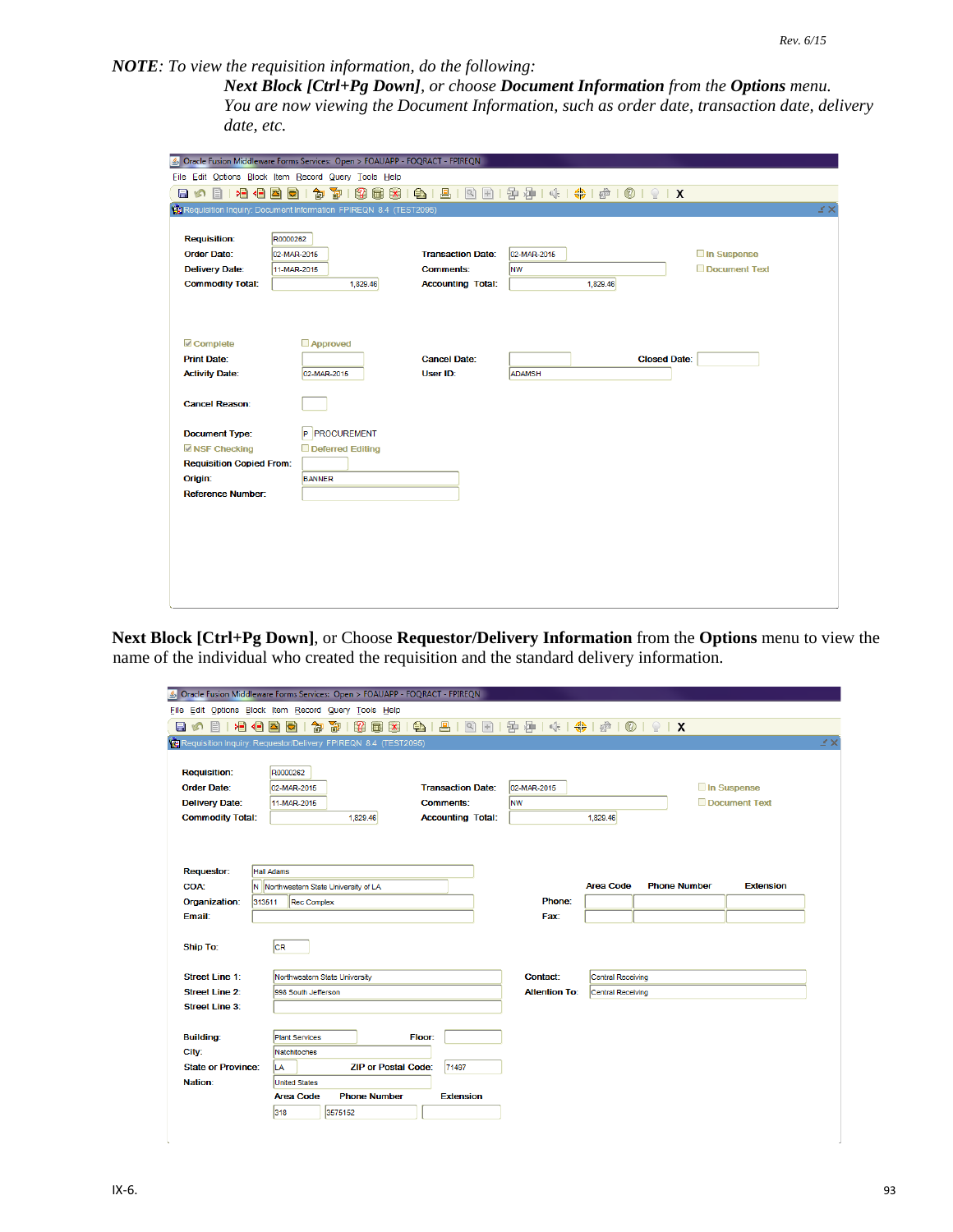*NOTE: To view the requisition information, do the following:*

*Next Block [Ctrl+Pg Down], or choose Document Information from the Options menu. You are now viewing the Document Information, such as order date, transaction date, delivery date, etc.*

|                                                     | Cracle Fusion Middleware Forms Services: Open > FOAUAPP - FOQRACT - FPIREQN |                                             |                     |               |
|-----------------------------------------------------|-----------------------------------------------------------------------------|---------------------------------------------|---------------------|---------------|
|                                                     | File Edit Options Block Item Record Query Tools Help                        |                                             |                     |               |
| ≻∃<br>ð,<br>$\blacksquare$<br>目<br>k∎<br><b>MCT</b> | 阁<br>ାହା<br>扁<br>匍<br>$\vert$ X<br>a                                        | $\boxed{Q} \boxed{+}$<br>$\bigoplus$  <br>昌 | 中国10101011          |               |
|                                                     | Requisition Inquiry: Document Information FPIREQN 8.4 (TEST2095)            |                                             |                     | ¥Χ            |
|                                                     |                                                                             |                                             |                     |               |
| <b>Requisition:</b>                                 | R0000262                                                                    |                                             |                     |               |
| <b>Order Date:</b>                                  | 02-MAR-2015                                                                 | <b>Transaction Date:</b>                    | 02-MAR-2015         | □ In Suspense |
| <b>Delivery Date:</b>                               | 11-MAR-2015                                                                 | <b>Comments:</b>                            | <b>NW</b>           | Document Text |
| <b>Commodity Total:</b>                             | 1,829.46                                                                    | <b>Accounting Total:</b>                    | 1,829.46            |               |
|                                                     |                                                                             |                                             |                     |               |
|                                                     |                                                                             |                                             |                     |               |
| Complete                                            | <b>Approved</b>                                                             |                                             |                     |               |
| <b>Print Date:</b>                                  |                                                                             | <b>Cancel Date:</b>                         | <b>Closed Date:</b> |               |
| <b>Activity Date:</b>                               | 02-MAR-2015                                                                 | User ID:                                    | <b>ADAMSH</b>       |               |
|                                                     |                                                                             |                                             |                     |               |
| <b>Cancel Reason:</b>                               |                                                                             |                                             |                     |               |
|                                                     |                                                                             |                                             |                     |               |
| <b>Document Type:</b>                               | P PROCUREMENT                                                               |                                             |                     |               |
| <b>Z</b> NSF Checking                               | Deferred Editing                                                            |                                             |                     |               |
| <b>Requisition Copied From:</b>                     |                                                                             |                                             |                     |               |
| Origin:                                             | <b>BANNER</b>                                                               |                                             |                     |               |
| <b>Reference Number:</b>                            |                                                                             |                                             |                     |               |
|                                                     |                                                                             |                                             |                     |               |
|                                                     |                                                                             |                                             |                     |               |
|                                                     |                                                                             |                                             |                     |               |
|                                                     |                                                                             |                                             |                     |               |
|                                                     |                                                                             |                                             |                     |               |
|                                                     |                                                                             |                                             |                     |               |
|                                                     |                                                                             |                                             |                     |               |

**Next Block [Ctrl+Pg Down]**, or Choose **Requestor/Delivery Information** from the **Options** menu to view the name of the individual who created the requisition and the standard delivery information.

|                           | Oracle Fusion Middleware Forms Services: Open > FOAUAPP - FOQRACT - FPIREQN                                       |                    |
|---------------------------|-------------------------------------------------------------------------------------------------------------------|--------------------|
|                           | File Edit Options Block Item Record Query Tools Help                                                              |                    |
| ≻⊟<br>Ħ<br>Е              | $\mathbb{R}$<br>$\left  + \right $<br>皆香<br>節<br>P<br>圃<br>$\mathbf{x}$<br>$\bigoplus$<br>昌<br>¶€<br>ē,<br>匍<br>츠 |                    |
|                           | Requisition Inquiry: Requestor/Delivery FPIREQN 8.4 (TEST2095)                                                    | ¥Χ                 |
|                           |                                                                                                                   |                    |
| <b>Requisition:</b>       | R0000262                                                                                                          |                    |
| <b>Order Date:</b>        | <b>Transaction Date:</b><br>02-MAR-2015<br>02-MAR-2015                                                            | $\Box$ In Suspense |
| <b>Delivery Date:</b>     | <b>NW</b><br>11-MAR-2015<br>Comments:                                                                             | Document Text      |
| <b>Commodity Total:</b>   | <b>Accounting Total:</b><br>1,829.46<br>1,829.46                                                                  |                    |
|                           |                                                                                                                   |                    |
|                           |                                                                                                                   |                    |
| <b>Requestor:</b>         | <b>Hall Adams</b>                                                                                                 |                    |
| <b>COA:</b>               | <b>Phone Number</b><br>N Northwestern State University of LA<br>Area Code                                         | <b>Extension</b>   |
| Organization:             | Phone:<br>Rec Complex<br>313511                                                                                   |                    |
| Email:                    | Fax:                                                                                                              |                    |
|                           |                                                                                                                   |                    |
| <b>Ship To:</b>           | lcR.                                                                                                              |                    |
|                           |                                                                                                                   |                    |
| <b>Street Line 1:</b>     | <b>Contact:</b><br>Northwestern State University<br>Central Receiving                                             |                    |
| <b>Street Line 2:</b>     | <b>Attention To:</b><br>998 South Jefferson<br>Central Receiving                                                  |                    |
| <b>Street Line 3:</b>     |                                                                                                                   |                    |
| <b>Building:</b>          | Floor:<br><b>Plant Services</b>                                                                                   |                    |
| City:                     | Natchitoches                                                                                                      |                    |
| <b>State or Province:</b> | <b>ZIP or Postal Code:</b><br>71497<br>llA                                                                        |                    |
| Nation:                   | <b>United States</b>                                                                                              |                    |
|                           | <b>Area Code</b><br><b>Phone Number</b><br><b>Extension</b>                                                       |                    |
|                           | 318<br>3575152                                                                                                    |                    |
|                           |                                                                                                                   |                    |
|                           |                                                                                                                   |                    |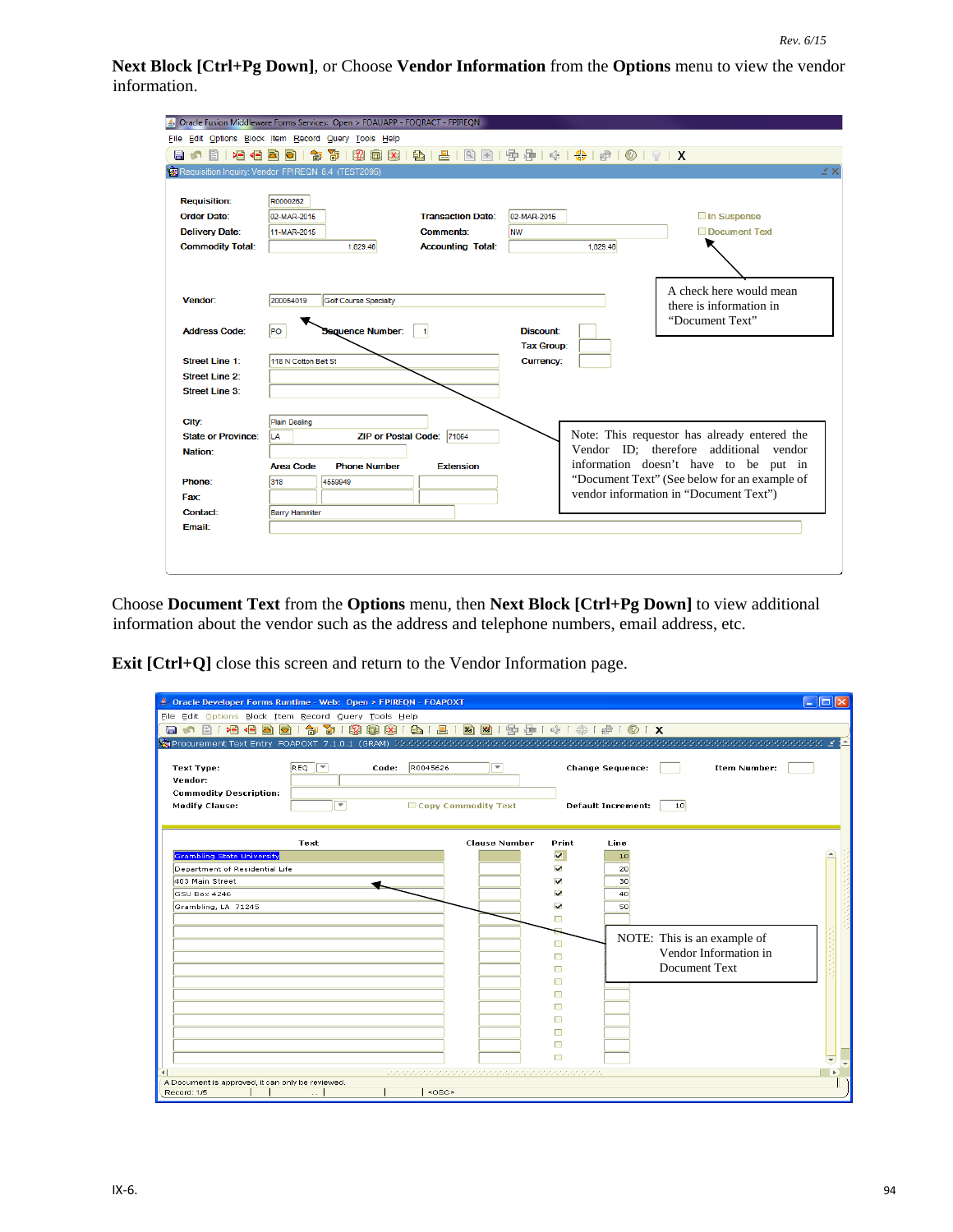**Next Block [Ctrl+Pg Down]**, or Choose **Vendor Information** from the **Options** menu to view the vendor information.

| Dracle Fusion Middleware Forms Services: Open > FOAUAPP - FOQRACT - FPIREQN |                       |                                          |                          |                                       |                                                                                                                                                                                                     |                                              |
|-----------------------------------------------------------------------------|-----------------------|------------------------------------------|--------------------------|---------------------------------------|-----------------------------------------------------------------------------------------------------------------------------------------------------------------------------------------------------|----------------------------------------------|
| File Edit Options Block Item Record Query Tools Help                        |                       |                                          |                          |                                       |                                                                                                                                                                                                     |                                              |
| ≻∃<br>¶ ¶<br>Ы                                                              | YT<br>淘               | $\bigoplus$<br><b>同区</b><br>$\mathbb{Z}$ | $\Box$                   |                                       | $\frac{1}{2}$ $\frac{1}{2}$ $\frac{1}{2}$ $\frac{1}{2}$ $\frac{1}{2}$ $\frac{1}{2}$ $\frac{1}{2}$ $\frac{1}{2}$ $\frac{1}{2}$ $\frac{1}{2}$ $\frac{1}{2}$ $\frac{1}{2}$ $\frac{1}{2}$ $\frac{1}{2}$ |                                              |
| Requisition Inquiry: Vendor FPIREQN 8.4 (TEST2095)                          |                       |                                          |                          |                                       |                                                                                                                                                                                                     | ≚ ×                                          |
| <b>Requisition:</b>                                                         | R0000262              |                                          |                          |                                       |                                                                                                                                                                                                     |                                              |
| <b>Order Date:</b>                                                          | 02-MAR-2015           |                                          | <b>Transaction Date:</b> | 02-MAR-2015                           |                                                                                                                                                                                                     | $\Box$ In Suspense                           |
| <b>Delivery Date:</b>                                                       | 11-MAR-2015           |                                          | Comments:                | <b>NW</b>                             |                                                                                                                                                                                                     | Document Text                                |
| <b>Commodity Total:</b>                                                     |                       | 1,829.46                                 | <b>Accounting Total:</b> |                                       | 1,829.46                                                                                                                                                                                            |                                              |
|                                                                             |                       |                                          |                          |                                       |                                                                                                                                                                                                     |                                              |
|                                                                             |                       |                                          |                          |                                       |                                                                                                                                                                                                     |                                              |
|                                                                             |                       |                                          |                          |                                       |                                                                                                                                                                                                     | A check here would mean                      |
| <b>Vendor:</b>                                                              | 200054019             | Golf Course Specialty                    |                          |                                       |                                                                                                                                                                                                     | there is information in                      |
|                                                                             |                       |                                          |                          |                                       |                                                                                                                                                                                                     | "Document Text"                              |
| <b>Address Code:</b>                                                        | lPO                   | equence Number:                          |                          | <b>Discount:</b><br><b>Tax Group:</b> |                                                                                                                                                                                                     |                                              |
| Street Line 1:                                                              | 118 N Cotton Belt St  |                                          |                          | <b>Currency:</b>                      |                                                                                                                                                                                                     |                                              |
| Street Line 2:                                                              |                       |                                          |                          |                                       |                                                                                                                                                                                                     |                                              |
| <b>Street Line 3:</b>                                                       |                       |                                          |                          |                                       |                                                                                                                                                                                                     |                                              |
|                                                                             |                       |                                          |                          |                                       |                                                                                                                                                                                                     |                                              |
| City:                                                                       | Plain Dealing         |                                          |                          |                                       |                                                                                                                                                                                                     |                                              |
| <b>State or Province:</b>                                                   | lla.                  | <b>ZIP or Postal Code:</b>               | 71064                    |                                       |                                                                                                                                                                                                     | Note: This requestor has already entered the |
| Nation:                                                                     |                       |                                          |                          |                                       |                                                                                                                                                                                                     | Vendor ID: therefore additional vendor       |
|                                                                             | <b>Area Code</b>      | <b>Phone Number</b>                      | <b>Extension</b>         |                                       |                                                                                                                                                                                                     | information doesn't have to be put in        |
| Phone:                                                                      | 318<br>4559949        |                                          |                          |                                       |                                                                                                                                                                                                     | "Document Text" (See below for an example of |
| <b>Fax:</b>                                                                 |                       |                                          |                          |                                       |                                                                                                                                                                                                     | vendor information in "Document Text")       |
| Contact:                                                                    | <b>Barry Hammiter</b> |                                          |                          |                                       |                                                                                                                                                                                                     |                                              |
| Email:                                                                      |                       |                                          |                          |                                       |                                                                                                                                                                                                     |                                              |
|                                                                             |                       |                                          |                          |                                       |                                                                                                                                                                                                     |                                              |
|                                                                             |                       |                                          |                          |                                       |                                                                                                                                                                                                     |                                              |
|                                                                             |                       |                                          |                          |                                       |                                                                                                                                                                                                     |                                              |

Choose **Document Text** from the **Options** menu, then **Next Block [Ctrl+Pg Down]** to view additional information about the vendor such as the address and telephone numbers, email address, etc.

**Exit [Ctrl+Q]** close this screen and return to the Vendor Information page.

| Oracle Developer Forms Runtime - Web: Open > FPIREQN - FOAPOXT<br>File Edit Options Block Item Record Query Tools Help<br>目の         |                         | 白色图画   李春1 \$P 图图   图   图   图   图   图   李春1 余   参   参   ①   X                                                             |                                                                                                                                                                    |                                                                       |
|--------------------------------------------------------------------------------------------------------------------------------------|-------------------------|---------------------------------------------------------------------------------------------------------------------------|--------------------------------------------------------------------------------------------------------------------------------------------------------------------|-----------------------------------------------------------------------|
| Text Type:<br>Vendor:<br><b>Commodity Description:</b><br><b>Modify Clause:</b>                                                      | $REQ$ $=$<br>Code:<br>₹ | ஈ<br>R0045626<br>Copy Commodity Text                                                                                      | <b>Change Sequence:</b><br><b>Default Increment:</b>                                                                                                               | <b>Item Number:</b><br>10                                             |
| <b>Grambling State University</b><br>Department of Residential Life<br>403 Main Street<br><b>GSU Box 4246</b><br>Grambling, LA 71245 | Text                    | <b>Clause Number</b>                                                                                                      | Print<br>Line<br>$\overline{\mathbf{v}}$<br>10<br>$\overline{\mathbf{v}}$<br>20<br>⊽<br>30<br>40<br>⊽<br>50<br>п<br>П<br>п<br>П<br>⊓<br>⊓<br>□<br>□<br>п<br>п<br>п | NOTE: This is an example of<br>Vendor Information in<br>Document Text |
| A Document is approved, it can only be reviewed.<br>Record: 1/5                                                                      |                         | state and the contract of the contract of the contract of the contract of the contract of the contract of the<br>$<$ OSC> |                                                                                                                                                                    |                                                                       |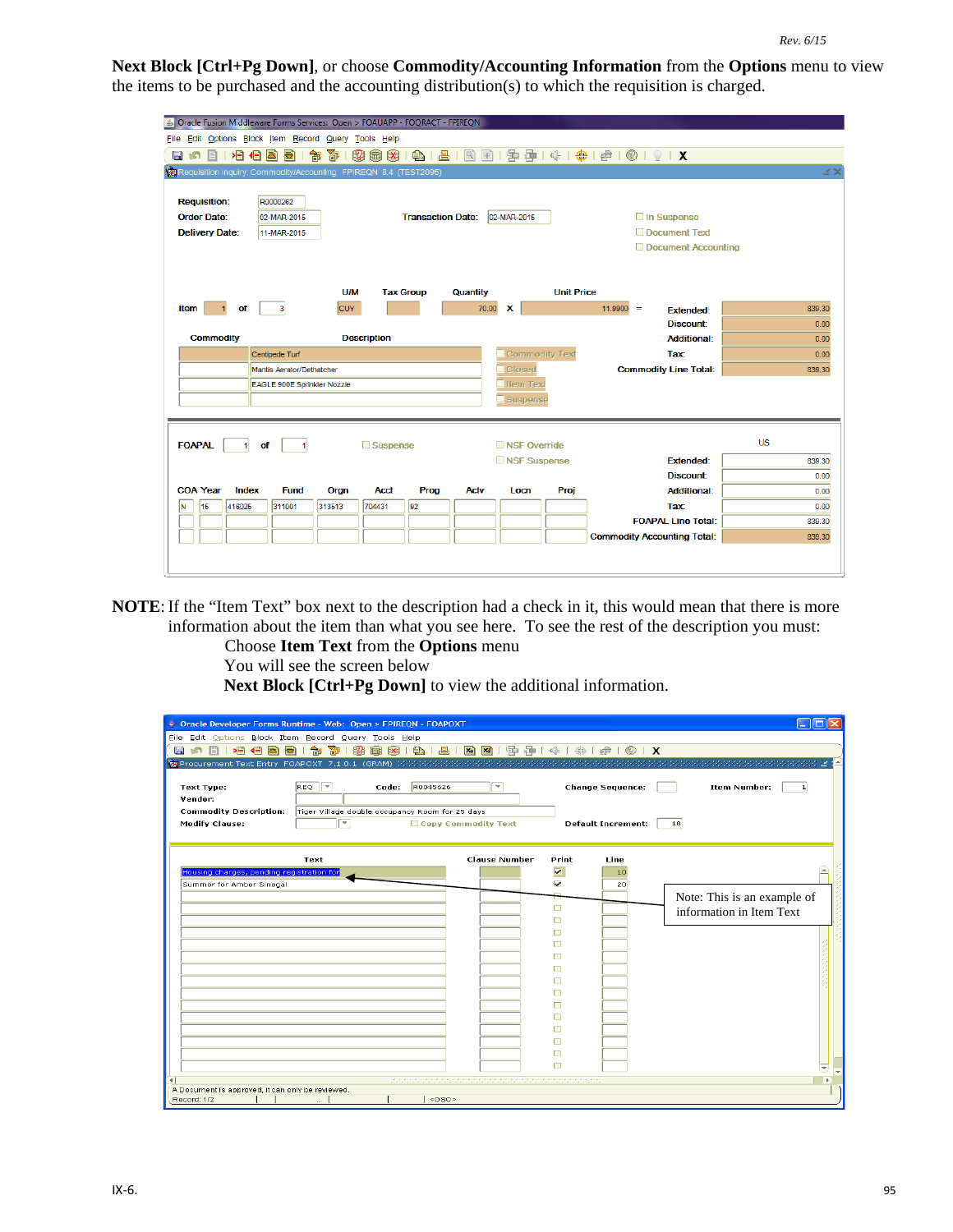**Next Block [Ctrl+Pg Down]**, or choose **Commodity/Accounting Information** from the **Options** menu to view the items to be purchased and the accounting distribution(s) to which the requisition is charged.

| S Oracle Fusion Middleware Forms Services: Open > FOAUAPP - FOORACT - FPIREON                                                                                                                                                                                |                                        |                          |                          |                          |                       |                   |             |                                                     |           |                |  |  |
|--------------------------------------------------------------------------------------------------------------------------------------------------------------------------------------------------------------------------------------------------------------|----------------------------------------|--------------------------|--------------------------|--------------------------|-----------------------|-------------------|-------------|-----------------------------------------------------|-----------|----------------|--|--|
| File Edit Options Block Item Record Query Tools Help                                                                                                                                                                                                         |                                        |                          |                          |                          |                       |                   |             |                                                     |           |                |  |  |
| 昬<br>碞<br>$ \mathbb{R} $<br>$\Box$<br>$\bigoplus$ $\bigoplus$ $\bigoplus$ $\bigoplus$ $\bigoplus$ $\bigoplus$ $\bigotimes$ $\bigotimes$<br>洵<br>昌<br>≻∃<br>伯<br>淘<br>1321<br>$\mathbf{x}$<br>$\bigoplus$<br>ð<br>Ð<br>圃<br>$\vert \ll \vert$<br>П<br>۱n<br>目 |                                        |                          |                          |                          |                       |                   |             |                                                     |           |                |  |  |
| ¥Χ<br>Requisition Inquiry: Commodity/Accounting FPIREQN 8.4 (TEST2095)                                                                                                                                                                                       |                                        |                          |                          |                          |                       |                   |             |                                                     |           |                |  |  |
| <b>Requisition:</b><br><b>Order Date:</b><br><b>Delivery Date:</b>                                                                                                                                                                                           | R0000262<br>02-MAR-2015<br>11-MAR-2015 |                          | <b>Transaction Date:</b> |                          | 02-MAR-2015           |                   |             | In Suspense<br>Document Text<br>Document Accounting |           |                |  |  |
| Item<br>of                                                                                                                                                                                                                                                   | $\mathbf{3}$                           | <b>U/M</b><br><b>CUY</b> | <b>Tax Group</b>         | <b>Quantity</b><br>70.00 | $\mathbf x$           | <b>Unit Price</b> | $11.9900 =$ | <b>Extended:</b><br>Discount:                       |           | 839.30<br>0.00 |  |  |
| <b>Commodity</b>                                                                                                                                                                                                                                             |                                        | <b>Description</b>       |                          |                          |                       |                   |             | <b>Additional:</b>                                  |           | 0.00           |  |  |
|                                                                                                                                                                                                                                                              | Centipede Turf                         |                          |                          |                          | Commodity Text        |                   |             | <b>Tax:</b>                                         |           | 0.00           |  |  |
|                                                                                                                                                                                                                                                              | Mantis Aerator/Dethatcher              |                          |                          |                          | Closed                |                   |             | <b>Commodity Line Total:</b>                        |           | 839.30         |  |  |
|                                                                                                                                                                                                                                                              | EAGLE 900E Sprinkler Nozzle            |                          |                          |                          | Item Text<br>Suspense |                   |             |                                                     |           |                |  |  |
| <b>FOAPAL</b>                                                                                                                                                                                                                                                | of                                     |                          | □ Suspense               |                          | NSF Override          |                   |             |                                                     | <b>US</b> |                |  |  |
|                                                                                                                                                                                                                                                              |                                        |                          |                          |                          | <b>NSF Suspense</b>   |                   |             | <b>Extended:</b>                                    |           | 839.30         |  |  |
|                                                                                                                                                                                                                                                              |                                        |                          |                          |                          |                       |                   |             | Discount:                                           |           | 0.00           |  |  |
| <b>COA Year</b><br>Index                                                                                                                                                                                                                                     | <b>Fund</b>                            | Orgn                     | Prog<br><b>Acct</b>      | <b>Actv</b>              | Locn                  | Proj              |             | <b>Additional:</b>                                  |           | 0.00           |  |  |
| N<br>15<br>416025                                                                                                                                                                                                                                            | 311001                                 | 313513                   | 92 <br>704431            |                          |                       |                   |             | Tax:                                                |           | 0.00           |  |  |
|                                                                                                                                                                                                                                                              |                                        |                          |                          |                          |                       |                   |             | <b>FOAPAL Line Total:</b>                           |           | 839.30         |  |  |
|                                                                                                                                                                                                                                                              |                                        |                          |                          |                          |                       |                   |             | <b>Commodity Accounting Total:</b>                  |           | 839.30         |  |  |
|                                                                                                                                                                                                                                                              |                                        |                          |                          |                          |                       |                   |             |                                                     |           |                |  |  |

**NOTE:** If the "Item Text" box next to the description had a check in it, this would mean that there is more information about the item than what you see here. To see the rest of the description you must: Choose **Item Text** from the **Options** menu

You will see the screen below Next Block [Ctrl+Pg Down] to view the additional information.

| Oracle Developer Forms Runtime - Web: Open > FPIREQN - FOAPOXT        |                                                 |                     |                                                        |                                                     |                           |                                                         |
|-----------------------------------------------------------------------|-------------------------------------------------|---------------------|--------------------------------------------------------|-----------------------------------------------------|---------------------------|---------------------------------------------------------|
| File Edit Options Block Item Record Query Tools Help                  |                                                 |                     |                                                        |                                                     |                           |                                                         |
| <b>RIO</b>                                                            | 101名100001台 7000000100100100100100101010101     |                     |                                                        |                                                     |                           |                                                         |
|                                                                       |                                                 |                     |                                                        |                                                     |                           |                                                         |
| <b>Text Type:</b>                                                     | REQ <sup>[-</sup>                               | R0045626<br>Code:   | ஈ                                                      |                                                     | <b>Change Sequence:</b>   | <b>Item Number:</b><br>1                                |
| Vendor:                                                               |                                                 |                     |                                                        |                                                     |                           |                                                         |
| <b>Commodity Description:</b>                                         | Tiger Village double occupancy Room for 25 days |                     |                                                        |                                                     |                           |                                                         |
| <b>Modify Clause:</b>                                                 | ☞                                               | Copy Commodity Text |                                                        |                                                     | <b>Default Increment:</b> | 10                                                      |
|                                                                       |                                                 |                     |                                                        |                                                     |                           |                                                         |
|                                                                       |                                                 |                     |                                                        |                                                     |                           |                                                         |
|                                                                       | Text                                            |                     | <b>Clause Number</b>                                   | Print                                               | Line                      |                                                         |
| Housing charges, pending registration for<br>Summer for Amber Sinegal |                                                 |                     |                                                        | $\overline{\phantom{a}}$<br>$\overline{\mathbf{v}}$ | 10                        |                                                         |
|                                                                       |                                                 |                     |                                                        |                                                     | 20                        |                                                         |
|                                                                       |                                                 |                     |                                                        | $\Box$                                              |                           | Note: This is an example of<br>information in Item Text |
|                                                                       |                                                 |                     |                                                        | ⊓                                                   |                           |                                                         |
|                                                                       |                                                 |                     |                                                        | П                                                   |                           |                                                         |
|                                                                       |                                                 |                     |                                                        | п                                                   |                           |                                                         |
|                                                                       |                                                 |                     |                                                        | ⊓                                                   |                           |                                                         |
|                                                                       |                                                 |                     |                                                        | ⊓                                                   |                           |                                                         |
|                                                                       |                                                 |                     |                                                        | ⊓                                                   |                           |                                                         |
|                                                                       |                                                 |                     |                                                        | п                                                   |                           |                                                         |
|                                                                       |                                                 |                     |                                                        | п<br>⊓                                              |                           |                                                         |
|                                                                       |                                                 |                     |                                                        | п                                                   |                           |                                                         |
|                                                                       |                                                 |                     |                                                        | п                                                   |                           |                                                         |
|                                                                       |                                                 |                     |                                                        | ⊓                                                   |                           |                                                         |
|                                                                       |                                                 |                     |                                                        | ⊓                                                   |                           |                                                         |
|                                                                       |                                                 |                     | stational constants and constant and constant and con- |                                                     |                           |                                                         |
| A Document is approved, it can only be reviewed.                      |                                                 |                     |                                                        |                                                     |                           |                                                         |
| Record: 1/2                                                           |                                                 | <0SC>               |                                                        |                                                     |                           |                                                         |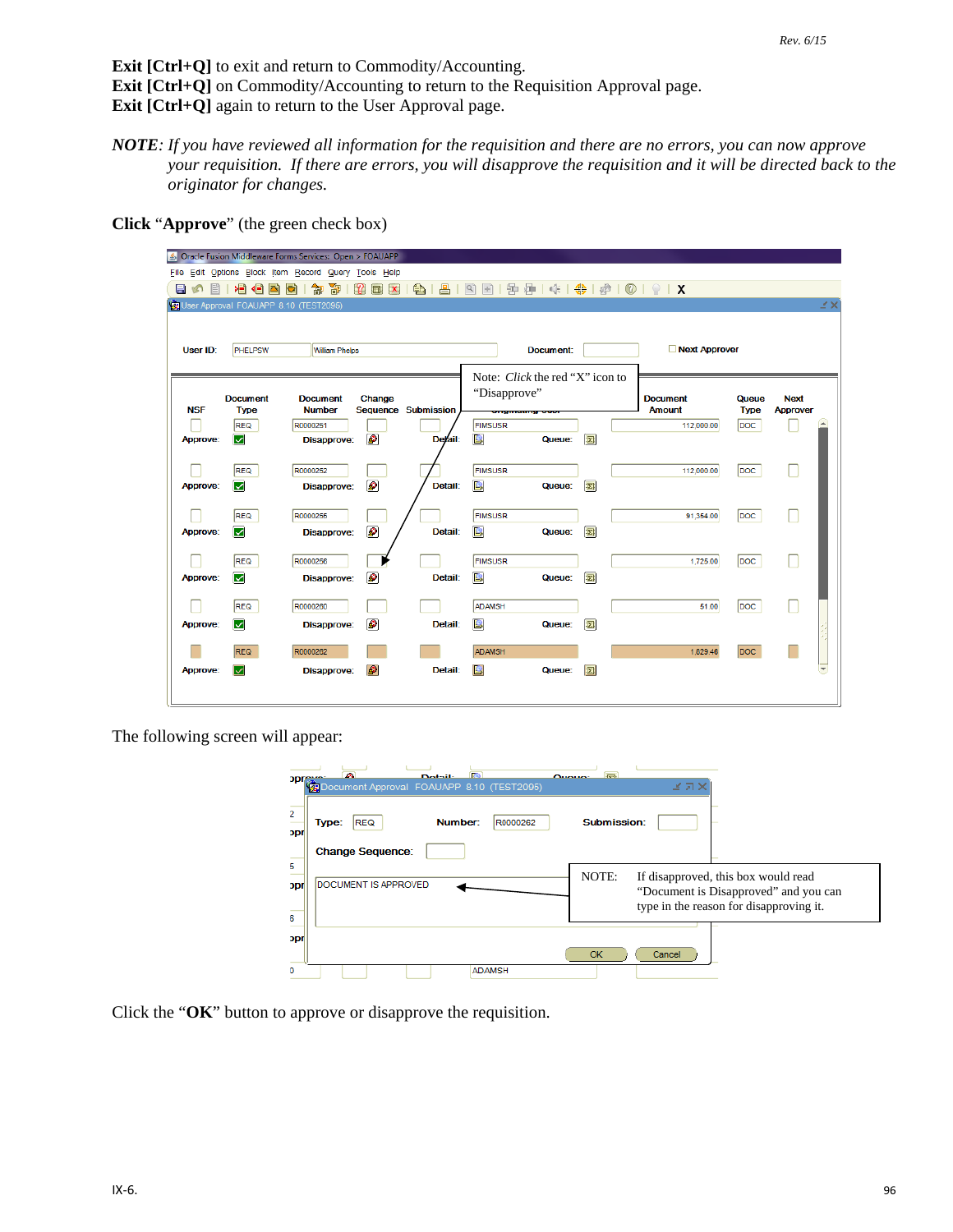**Exit [Ctrl+Q]** to exit and return to Commodity/Accounting. **Exit [Ctrl+Q]** on Commodity/Accounting to return to the Requisition Approval page. **Exit [Ctrl+Q]** again to return to the User Approval page.

*NOTE: If you have reviewed all information for the requisition and there are no errors, you can now approve your requisition. If there are errors, you will disapprove the requisition and it will be directed back to the originator for changes.*

**Click** "**Approve**" (the green check box)

|                 |                                      | <b>6</b> Oracle Fusion Middleware Forms Services: Open > FOAUAPP |           |                                                               |                     |                                 |                           |                                  |                      |                                |  |  |
|-----------------|--------------------------------------|------------------------------------------------------------------|-----------|---------------------------------------------------------------|---------------------|---------------------------------|---------------------------|----------------------------------|----------------------|--------------------------------|--|--|
|                 |                                      | File Edit Options Block Item Record Query Tools Help             |           |                                                               |                     |                                 |                           |                                  |                      |                                |  |  |
| н<br>۲n<br>眉    | 相相<br>E)                             | 南<br>Ð<br>匍                                                      | P <br>园 X | $\left( \begin{array}{cc} 1 & 0 \\ 0 & 1 \end{array} \right)$ | 骨骨                  | 4k                              | $\bigoplus$   $\bigoplus$ | $\bigcirc$   $\bigcirc$   X      |                      |                                |  |  |
|                 |                                      | User Approval FOAUAPP 8.10 (TEST2095)                            |           |                                                               |                     |                                 |                           |                                  |                      | ¥Χ                             |  |  |
| User ID:        | PHELPSW<br><b>William Phelps</b>     |                                                                  |           |                                                               |                     | Document:                       |                           |                                  | Next Approver        |                                |  |  |
| <b>NSF</b>      | <b>Document</b><br><b>Type</b>       | <b>Document</b><br><b>Number</b>                                 | Change    | Sequence Submission                                           | "Disapprove"        | Note: Click the red "X" icon to |                           | <b>Document</b><br><b>Amount</b> | Queue<br><b>Type</b> | <b>Next</b><br><b>Approver</b> |  |  |
| Approve:        | <b>REQ</b><br>$\vert\mathbf{v}\vert$ | R0000251<br>Disapprove:                                          | B         | Detail:                                                       | <b>FIMSUSR</b><br>鸟 | Queue:                          | 每                         | 112,000.00                       | DOC                  | $\blacktriangle$               |  |  |
| <b>Approve:</b> | <b>REQ</b><br>☑                      | R0000252<br>Disapprove:                                          | ø         | Detail:                                                       | <b>FIMSUSR</b><br>鲁 | Queue:                          | 囨                         | 112,000.00                       | DOC                  |                                |  |  |
| Approve:        | <b>REQ</b><br>☑                      | R0000255<br>Disapprove:                                          | ß         | Detail:                                                       | <b>FIMSUSR</b><br>魯 | Queue:                          | 团                         | 91,354.00                        | DOC                  |                                |  |  |
| <b>Approve:</b> | <b>REQ</b><br>$\vert\mathbf{v}\vert$ | R0000256<br>Disapprove:                                          | ø         | Detail:                                                       | <b>FIMSUSR</b><br>B | Queue:                          | 每                         | 1.725.00                         | <b>DOC</b>           |                                |  |  |
| <b>Approve:</b> | <b>REQ</b><br>☑                      | R0000260<br>Disapprove:                                          | ø         | Detail:                                                       | <b>ADAMSH</b><br>B  | Queue:                          | 每                         | 51.00                            | DOC                  |                                |  |  |
|                 | <b>REQ</b>                           | R0000262                                                         |           |                                                               | <b>ADAMSH</b>       |                                 |                           | 1.829.46                         | DOC                  |                                |  |  |
| Approve:        | $\blacktriangledown$                 | Disapprove:                                                      | B         | Detail:                                                       | 19                  | Queue:                          | 团                         |                                  |                      | $\overline{\phantom{a}}$       |  |  |

The following screen will appear:

| <b>Opressed</b>   | Æ.<br>$\mathbf{Z}$<br>$f = f$<br>Dotail:<br><b>OUNTA:</b><br>ビオ×<br>Document Approval FOAUAPP 8.10 (TEST2095)                                            |
|-------------------|----------------------------------------------------------------------------------------------------------------------------------------------------------|
| 2<br>Type:<br>opr | Submission:<br>Number:<br><b>REQ</b><br>R0000262                                                                                                         |
| 5                 | <b>Change Sequence:</b>                                                                                                                                  |
| <b>ODI</b><br>6   | NOTE:<br>If disapproved, this box would read<br>DOCUMENT IS APPROVED<br>"Document is Disapproved" and you can<br>type in the reason for disapproving it. |
| JDI               | ОК<br>Cancel                                                                                                                                             |
|                   | <b>ADAMSH</b>                                                                                                                                            |

Click the "**OK**" button to approve or disapprove the requisition.